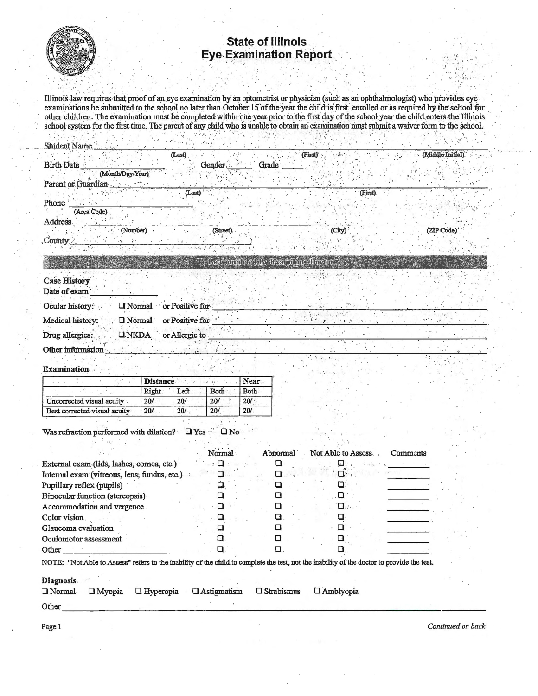

## State of Illinois<br>Eye Examination Report

Illinois law requires that proof of an eye examination by an optometrist or physician (such as an ophthalmologist) who provides eye. examinations be submitted to the school no later than October 15 of the year the child is first enrolled or as required by the school for other children. The examination must be completed within one year prior to the first day of the school year the child enters the Illinois school system for the first time. The parent of any child who is unable to obtain an examination must submit a waiver form to the school.

| <b>Student Name</b>                 |                                 |                             |                  |
|-------------------------------------|---------------------------------|-----------------------------|------------------|
|                                     | (Last).                         | (First)                     | (Middle Initial) |
| <b>Birth Date</b>                   | Gender                          | Grade                       |                  |
| (Month/Day/Year)                    |                                 |                             |                  |
| Parent or Guardian                  | (Last)                          | (First)                     |                  |
| Phone                               |                                 |                             |                  |
| (Area Code)                         |                                 |                             |                  |
| Address.                            |                                 |                             |                  |
| (Number)                            | (Street).                       | (City)                      | (ZIP Code)       |
| County                              |                                 |                             |                  |
|                                     |                                 |                             |                  |
|                                     |                                 | m Retenin deur Beinnich oro |                  |
| <b>Case History</b>                 |                                 |                             |                  |
| Date of exam                        |                                 |                             |                  |
|                                     |                                 |                             |                  |
| Ocular history:                     | <b>Q Normal</b> or Positive for |                             |                  |
| Medical history:<br><b>I</b> Normal | or Positive for                 |                             |                  |
| Drug allergies:<br><b>ONKDA</b>     | or Allergic to                  |                             |                  |
| Other information                   |                                 |                             |                  |
|                                     |                                 |                             | Г÷.              |

## **Examination**

|                              | <b>Distance</b> |      |             | Near        |
|------------------------------|-----------------|------|-------------|-------------|
|                              | Right           | Left | <b>Both</b> | <b>Both</b> |
| Uncorrected visual acuity    | 20/             | 20/  | 20/         | 20/         |
| Best corrected visual acuity | 20/             | 20/  | 20/         | 20/         |

Was refraction performed with dilation?  $\Box$  Yes  $\square$  No

1980年 AP 100

|                                              | Normal: | Abnormal | Not Able to Assess. | Comments |
|----------------------------------------------|---------|----------|---------------------|----------|
| External exam (lids, lashes, cornea, etc.)   |         |          |                     |          |
| Internal exam (vitreous, lens; fundus, etc.) |         |          |                     |          |
| Pupillary reflex (pupils)                    |         |          |                     |          |
| Binocular function (stereopsis)              |         |          |                     |          |
| Accommodation and vergence                   |         |          |                     |          |
| Color vision                                 |         |          |                     |          |
| Glaucoma evaluation                          |         |          |                     |          |
| Oculomotor assessment                        |         |          |                     |          |
| Other                                        |         |          |                     |          |

## **Diagnosis**

|  | $\Box$ Normal $\Box$ Myopia $\Box$ Hyperopia $\Box$ Astigmatism $\Box$ Strabismus $\Box$ Amblyopia |  |  |
|--|----------------------------------------------------------------------------------------------------|--|--|
|  |                                                                                                    |  |  |

Other

Continued on back

Page 1